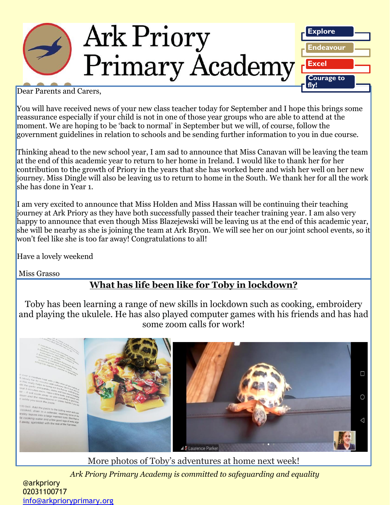

Dear Parents and Carers,

You will have received news of your new class teacher today for September and I hope this brings some reassurance especially if your child is not in one of those year groups who are able to attend at the moment. We are hoping to be 'back to normal' in September but we will, of course, follow the government guidelines in relation to schools and be sending further information to you in due course.

Thinking ahead to the new school year, I am sad to announce that Miss Canavan will be leaving the team at the end of this academic year to return to her home in Ireland. I would like to thank her for her contribution to the growth of Priory in the years that she has worked here and wish her well on her new journey. Miss Dingle will also be leaving us to return to home in the South. We thank her for all the work she has done in Year 1.

I am very excited to announce that Miss Holden and Miss Hassan will be continuing their teaching journey at Ark Priory as they have both successfully passed their teacher training year. I am also very happy to announce that even though Miss Blazejewski will be leaving us at the end of this academic year, she will be nearby as she is joining the team at Ark Bryon. We will see her on our joint school events, so it won't feel like she is too far away! Congratulations to all!

Have a lovely weekend

Miss Grasso

## **What has life been like for Toby in lockdown?**

Toby has been learning a range of new skills in lockdown such as cooking, embroidery and playing the ukulele. He has also played computer games with his friends and has had some zoom calls for work!





*Ark Priory Primary Academy is committed to safeguarding and equality*  More photos of Toby's adventures at home next week!

@arkpriory 02031100717 [info@arkprioryprimary.org](mailto:info@arkprioryprimary.org)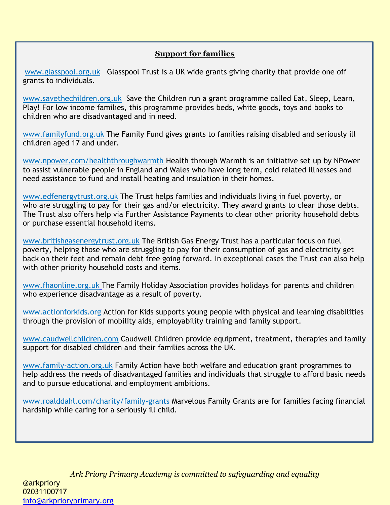## **Support for families**

[www.glasspool.org.uk](http://www.glasspool.org.uk/) Glasspool Trust is a UK wide grants giving charity that provide one off grants to individuals.

[www.savethechildren.org.uk](https://www.savethechildren.org.uk/what-we-do/uk-work) Save the Children run a grant programme called Eat, Sleep, Learn, Play! For low income families, this programme provides beds, white goods, toys and books to children who are disadvantaged and in need.

[www.familyfund.org.uk](http://www.familyfund.org.uk/) The Family Fund gives grants to families raising disabled and seriously ill children aged 17 and under.

[www.npower.com/healththroughwarmth](http://www.npower.com/healththroughwarmth) Health through Warmth is an initiative set up by NPower to assist vulnerable people in England and Wales who have long term, cold related illnesses and need assistance to fund and install heating and insulation in their homes.

[www.edfenergytrust.org.uk](http://www.edfenergytrust.org.uk/) The Trust helps families and individuals living in fuel poverty, or who are struggling to pay for their gas and/or electricity. They award grants to clear those debts. The Trust also offers help via Further Assistance Payments to clear other priority household debts or purchase essential household items.

[www.britishgasenergytrust.org.uk](http://www.britishgasenergytrust.org.uk/) The British Gas Energy Trust has a particular focus on fuel poverty, helping those who are struggling to pay for their consumption of gas and electricity get back on their feet and remain debt free going forward. In exceptional cases the Trust can also help with other priority household costs and items.

[www.fhaonline.org.uk](http://www.fhaonline.org.uk/) The Family Holiday Association provides holidays for parents and children who experience disadvantage as a result of poverty.

[www.actionforkids.org](http://www.actionforkids.org/) Action for Kids supports young people with physical and learning disabilities through the provision of mobility aids, employability training and family support.

[www.caudwellchildren.com](http://www.caudwellchildren.com/) Caudwell Children provide equipment, treatment, therapies and family support for disabled children and their families across the UK.

[www.family-action.org.uk](http://www.family-action.org.uk/) Family Action have both welfare and education grant programmes to help address the needs of disadvantaged families and individuals that struggle to afford basic needs and to pursue educational and employment ambitions.

[www.roalddahl.com/charity/family-grants](http://www.roalddahl.com/charity/family-grants) Marvelous Family Grants are for families facing financial hardship while caring for a seriously ill child.

*Ark Priory Primary Academy is committed to safeguarding and equality*  @arkpriory 02031100717 [info@arkprioryprimary.org](mailto:info@arkprioryprimary.org)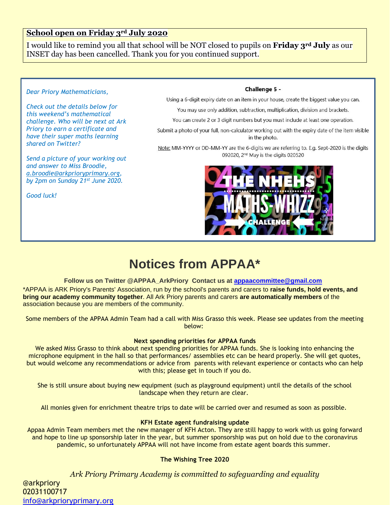### **School open on Friday 3rd July 2020**

I would like to remind you all that school will be NOT closed to pupils on **Friday 3rd July** as our INSET day has been cancelled. Thank you for you continued support.

#### *Dear Priory Mathematicians,*

*Check out the details below for this weekend's mathematical challenge. Who will be next at Ark Priory to earn a certificate and have their super maths learning shared on Twitter?*

*Send a picture of your working out and answer to Miss Broodie, [a.broodie@arkprioryprimary.org,](mailto:a.broodie@arkprioryprimary.org) by 2pm on Sunday 21st June 2020.* 

*Good luck!*

#### Challenge 5 -

Using a 6-digit expiry date on an item in your house, create the biggest value you can.

You may use only addition, subtraction, multiplication, division and brackets.

You can create 2 or 3 digit numbers but you must include at least one operation.

Submit a photo of your full, non-calculator working out with the expiry date of the item visible in the photo.

Note: MM-YYYY or DD-MM-YY are the 6-digits we are referring to. E.g. Sept-2020 is the digits 092020, 2<sup>nd</sup> May is the digits 020520



# **Notices from APPAA\***

#### **Follow us on Twitter @APPAA\_ArkPriory Contact us at [appaacommittee@gmail.com](mailto:appaacommittee@gmail.com)**

\*APPAA is ARK Priory's Parents' Association, run by the school's parents and carers to **raise funds, hold events, and bring our academy community together**. All Ark Priory parents and carers **are automatically members** of the association because you are members of the community.

Some members of the APPAA Admin Team had a call with Miss Grasso this week. Please see updates from the meeting below:

#### **Next spending priorities for APPAA funds**

We asked Miss Grasso to think about next spending priorities for APPAA funds. She is looking into enhancing the microphone equipment in the hall so that performances/ assemblies etc can be heard properly. She will get quotes, but would welcome any recommendations or advice from parents with relevant experience or contacts who can help with this; please get in touch if you do.

She is still unsure about buying new equipment (such as playground equipment) until the details of the school landscape when they return are clear.

All monies given for enrichment theatre trips to date will be carried over and resumed as soon as possible.

#### **KFH Estate agent fundraising update**

Appaa Admin Team members met the new manager of KFH Acton. They are still happy to work with us going forward and hope to line up sponsorship later in the year, but summer sponsorship was put on hold due to the coronavirus pandemic, so unfortunately APPAA will not have income from estate agent boards this summer.

#### **The Wishing Tree 2020**

*Ark Priory Primary Academy is committed to safeguarding and equality* 

@arkpriory 02031100717 [info@arkprioryprimary.org](mailto:info@arkprioryprimary.org)